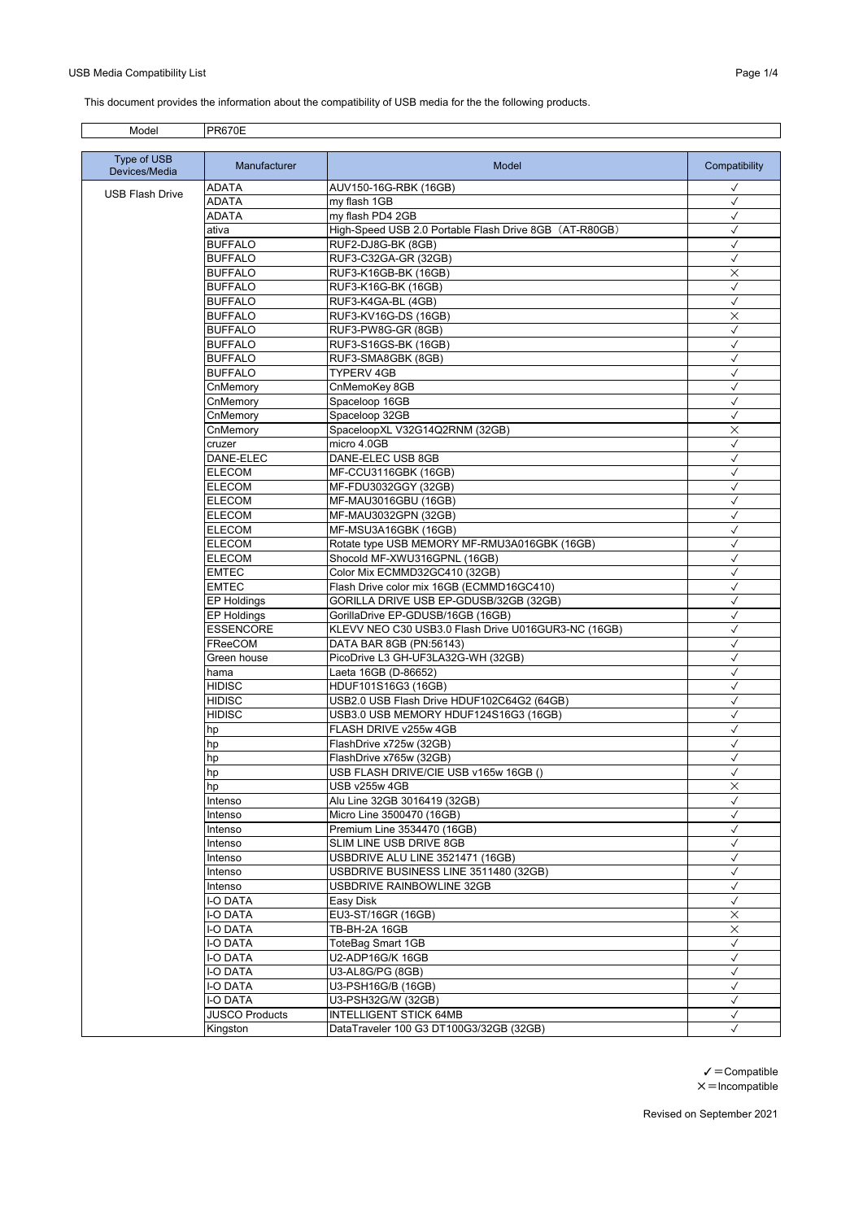## USB Media Compatibility List **Page 1/4**

This document provides the information about the compatibility of USB media for the the following products.

| Model                  | <b>PR670E</b>           |                                                                |                              |
|------------------------|-------------------------|----------------------------------------------------------------|------------------------------|
| Type of USB            | Manufacturer            | Model                                                          | Compatibility                |
| Devices/Media          |                         |                                                                |                              |
| <b>USB Flash Drive</b> | ADATA<br>ADATA          | AUV150-16G-RBK (16GB)<br>my flash 1GB                          | $\checkmark$<br>$\checkmark$ |
|                        | ADATA                   | my flash PD4 2GB                                               | $\checkmark$                 |
|                        | ativa                   | High-Speed USB 2.0 Portable Flash Drive 8GB (AT-R80GB)         | $\checkmark$                 |
|                        | <b>BUFFALO</b>          | RUF2-DJ8G-BK (8GB)                                             | $\checkmark$                 |
|                        | <b>BUFFALO</b>          | RUF3-C32GA-GR (32GB)                                           | $\checkmark$                 |
|                        | <b>BUFFALO</b>          | RUF3-K16GB-BK (16GB)                                           | $\times$                     |
|                        | <b>BUFFALO</b>          | RUF3-K16G-BK (16GB)                                            | $\checkmark$                 |
|                        | <b>BUFFALO</b>          | RUF3-K4GA-BL (4GB)                                             | $\checkmark$                 |
|                        | <b>BUFFALO</b>          | RUF3-KV16G-DS (16GB)                                           | $\times$                     |
|                        | <b>BUFFALO</b>          | RUF3-PW8G-GR (8GB)                                             | $\checkmark$                 |
|                        | <b>BUFFALO</b>          | RUF3-S16GS-BK (16GB)                                           | $\checkmark$                 |
|                        | <b>BUFFALO</b>          | RUF3-SMA8GBK (8GB)                                             | $\checkmark$                 |
|                        | <b>BUFFALO</b>          | TYPERV 4GB                                                     | ✓                            |
|                        | CnMemory                | CnMemoKey 8GB                                                  | $\checkmark$                 |
|                        | CnMemory                | Spaceloop 16GB                                                 | $\checkmark$                 |
|                        | CnMemory                | Spaceloop 32GB                                                 | $\checkmark$                 |
|                        | CnMemory                | SpaceloopXL V32G14Q2RNM (32GB)                                 | $\times$                     |
|                        | cruzer                  | micro 4.0GB                                                    | $\checkmark$                 |
|                        | DANE-ELEC               | DANE-ELEC USB 8GB                                              | $\checkmark$                 |
|                        | <b>ELECOM</b>           | MF-CCU3116GBK (16GB)                                           | $\checkmark$                 |
|                        | <b>ELECOM</b>           | MF-FDU3032GGY (32GB)                                           | $\checkmark$                 |
|                        | <b>ELECOM</b>           | MF-MAU3016GBU (16GB)                                           | $\checkmark$                 |
|                        | <b>ELECOM</b>           | MF-MAU3032GPN (32GB)                                           | $\checkmark$                 |
|                        | <b>ELECOM</b>           | MF-MSU3A16GBK (16GB)                                           | $\checkmark$                 |
|                        | <b>ELECOM</b>           | Rotate type USB MEMORY MF-RMU3A016GBK (16GB)                   | $\checkmark$                 |
|                        | <b>ELECOM</b>           | Shocold MF-XWU316GPNL (16GB)                                   | $\checkmark$                 |
|                        | <b>EMTEC</b>            | Color Mix ECMMD32GC410 (32GB)                                  | $\checkmark$                 |
|                        | <b>EMTEC</b>            | Flash Drive color mix 16GB (ECMMD16GC410)                      | $\checkmark$                 |
|                        | <b>EP Holdings</b>      | GORILLA DRIVE USB EP-GDUSB/32GB (32GB)                         | $\checkmark$                 |
|                        | <b>EP Holdings</b>      | GorillaDrive EP-GDUSB/16GB (16GB)                              | $\checkmark$                 |
|                        | <b>ESSENCORE</b>        | KLEVV NEO C30 USB3.0 Flash Drive U016GUR3-NC (16GB)            | $\checkmark$                 |
|                        | FReeCOM                 | DATA BAR 8GB (PN:56143)                                        | $\checkmark$                 |
|                        | Green house             | PicoDrive L3 GH-UF3LA32G-WH (32GB)                             | $\checkmark$                 |
|                        | hama                    | Laeta 16GB (D-86652)                                           | $\checkmark$                 |
|                        | HIDISC                  | HDUF101S16G3 (16GB)                                            | $\checkmark$                 |
|                        | HIDISC<br><b>HIDISC</b> | USB2.0 USB Flash Drive HDUF102C64G2 (64GB)                     | $\checkmark$<br>$\checkmark$ |
|                        |                         | USB3.0 USB MEMORY HDUF124S16G3 (16GB)<br>FLASH DRIVE v255w 4GB | $\checkmark$                 |
|                        | hp                      | FlashDrive x725w (32GB)                                        | $\checkmark$                 |
|                        | hp                      | FlashDrive x765w (32GB)                                        | $\checkmark$                 |
|                        | hp                      |                                                                | ✓                            |
|                        | hp<br>hp                | USB FLASH DRIVE/CIE USB v165w 16GB ()<br>USB v255w 4GB         | $\times$                     |
|                        | Intenso                 | Alu Line 32GB 3016419 (32GB)                                   | $\checkmark$                 |
|                        | Intenso                 | Micro Line 3500470 (16GB)                                      | $\checkmark$                 |
|                        | Intenso                 | Premium Line 3534470 (16GB)                                    | $\checkmark$                 |
|                        | Intenso                 | SLIM LINE USB DRIVE 8GB                                        | $\checkmark$                 |
|                        | Intenso                 | USBDRIVE ALU LINE 3521471 (16GB)                               | $\checkmark$                 |
|                        | Intenso                 | USBDRIVE BUSINESS LINE 3511480 (32GB)                          | $\checkmark$                 |
|                        | Intenso                 | USBDRIVE RAINBOWLINE 32GB                                      | $\checkmark$                 |
|                        | I-O DATA                | Easy Disk                                                      | $\checkmark$                 |
|                        | I-O DATA                | EU3-ST/16GR (16GB)                                             | $\times$                     |
|                        | I-O DATA                | TB-BH-2A 16GB                                                  | $\times$                     |
|                        | I-O DATA                | ToteBag Smart 1GB                                              | $\checkmark$                 |
|                        | I-O DATA                | U2-ADP16G/K 16GB                                               | $\checkmark$                 |
|                        | I-O DATA                | U3-AL8G/PG (8GB)                                               | $\checkmark$                 |
|                        | -O DATA                 | U3-PSH16G/B (16GB)                                             | $\checkmark$                 |
|                        | I-O DATA                | U3-PSH32G/W (32GB)                                             | $\checkmark$                 |
|                        | <b>JUSCO Products</b>   | <b>INTELLIGENT STICK 64MB</b>                                  | $\checkmark$                 |
|                        | Kingston                | DataTraveler 100 G3 DT100G3/32GB (32GB)                        | $\checkmark$                 |

 $\checkmark$  = Compatible  $\times$  = Incompatible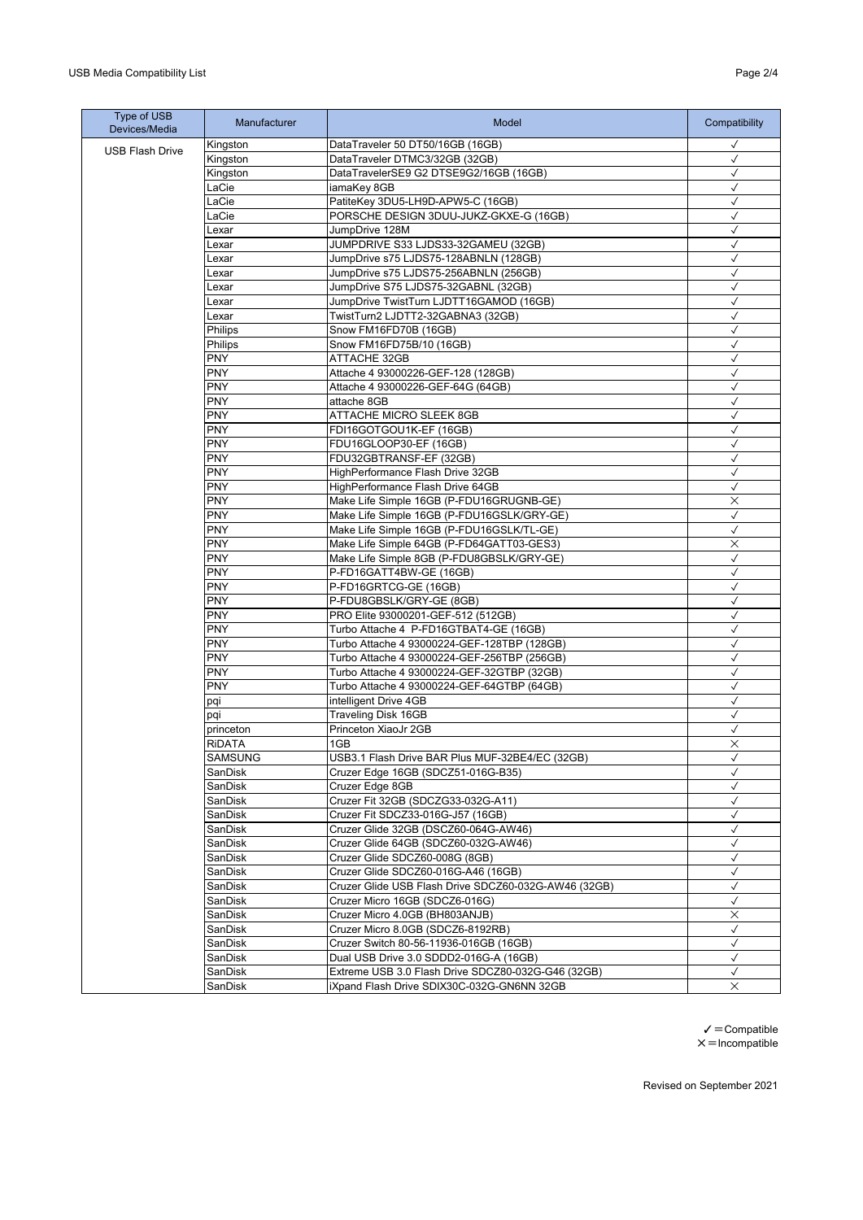| Type of USB<br>Devices/Media | Manufacturer       | Model                                                                                 | Compatibility     |
|------------------------------|--------------------|---------------------------------------------------------------------------------------|-------------------|
| <b>USB Flash Drive</b>       | Kingston           | DataTraveler 50 DT50/16GB (16GB)                                                      | $\checkmark$      |
|                              | Kingston           | DataTraveler DTMC3/32GB (32GB)                                                        | $\checkmark$      |
|                              | Kingston           | DataTravelerSE9 G2 DTSE9G2/16GB (16GB)                                                | $\checkmark$      |
|                              | LaCie              | iamaKey 8GB                                                                           | $\checkmark$      |
|                              | LaCie              | PatiteKey 3DU5-LH9D-APW5-C (16GB)                                                     | $\checkmark$      |
|                              | LaCie              | PORSCHE DESIGN 3DUU-JUKZ-GKXE-G (16GB)                                                | $\checkmark$      |
|                              | Lexar              | JumpDrive 128M                                                                        | $\checkmark$      |
|                              | Lexar              | JUMPDRIVE S33 LJDS33-32GAMEU (32GB)                                                   | $\checkmark$      |
|                              | Lexar              | JumpDrive s75 LJDS75-128ABNLN (128GB)                                                 | $\checkmark$      |
|                              | Lexar              | JumpDrive s75 LJDS75-256ABNLN (256GB)                                                 | $\checkmark$      |
|                              | Lexar              | JumpDrive S75 LJDS75-32GABNL (32GB)                                                   | $\checkmark$      |
|                              | Lexar              | JumpDrive TwistTurn LJDTT16GAMOD (16GB)                                               | ✓                 |
|                              | Lexar              | TwistTurn2 LJDTT2-32GABNA3 (32GB)                                                     | $\checkmark$      |
|                              | Philips            | Snow FM16FD70B (16GB)                                                                 | $\checkmark$      |
|                              | Philips            | Snow FM16FD75B/10 (16GB)                                                              | √                 |
|                              | <b>PNY</b>         | ATTACHE 32GB                                                                          | $\checkmark$      |
|                              | <b>PNY</b>         | Attache 4 93000226-GEF-128 (128GB)                                                    | $\checkmark$      |
|                              | <b>PNY</b>         | Attache 4 93000226-GEF-64G (64GB)                                                     | $\checkmark$      |
|                              | <b>PNY</b>         | attache 8GB                                                                           | $\checkmark$      |
|                              | <b>PNY</b>         | ATTACHE MICRO SLEEK 8GB                                                               | $\checkmark$      |
|                              | <b>PNY</b>         | FDI16GOTGOU1K-EF (16GB)                                                               | $\checkmark$      |
|                              | <b>PNY</b>         | FDU16GLOOP30-EF (16GB)                                                                | $\checkmark$      |
|                              | <b>PNY</b>         | FDU32GBTRANSF-EF (32GB)                                                               | $\checkmark$      |
|                              | <b>PNY</b>         | HighPerformance Flash Drive 32GB                                                      | √                 |
|                              | <b>PNY</b>         | HighPerformance Flash Drive 64GB                                                      | $\checkmark$      |
|                              | <b>PNY</b>         | Make Life Simple 16GB (P-FDU16GRUGNB-GE)                                              | X                 |
|                              | <b>PNY</b>         | Make Life Simple 16GB (P-FDU16GSLK/GRY-GE)                                            | $\checkmark$      |
|                              | <b>PNY</b>         | Make Life Simple 16GB (P-FDU16GSLK/TL-GE)                                             | $\checkmark$      |
|                              | <b>PNY</b>         | Make Life Simple 64GB (P-FD64GATT03-GES3)                                             | ×                 |
|                              | <b>PNY</b>         | Make Life Simple 8GB (P-FDU8GBSLK/GRY-GE)                                             | $\checkmark$      |
|                              | <b>PNY</b>         | P-FD16GATT4BW-GE (16GB)                                                               | $\checkmark$      |
|                              | <b>PNY</b>         | P-FD16GRTCG-GE (16GB)                                                                 | $\checkmark$      |
|                              | <b>PNY</b>         | P-FDU8GBSLK/GRY-GE (8GB)                                                              | $\checkmark$      |
|                              | <b>PNY</b>         | PRO Elite 93000201-GEF-512 (512GB)                                                    | $\checkmark$      |
|                              | <b>PNY</b>         | Turbo Attache 4 P-FD16GTBAT4-GE (16GB)                                                | $\checkmark$      |
|                              | <b>PNY</b>         | Turbo Attache 4 93000224-GEF-128TBP (128GB)                                           | $\checkmark$      |
|                              | <b>PNY</b>         | Turbo Attache 4 93000224-GEF-256TBP (256GB)                                           | ✓                 |
|                              | <b>PNY</b>         | Turbo Attache 4 93000224-GEF-32GTBP (32GB)                                            | $\checkmark$      |
|                              | <b>PNY</b>         | Turbo Attache 4 93000224-GEF-64GTBP (64GB)                                            | $\checkmark$      |
|                              | pqi                | intelligent Drive 4GB                                                                 | ✓                 |
|                              | pqi                | <b>Traveling Disk 16GB</b><br>Princeton XiaoJr 2GB                                    | $\checkmark$      |
|                              | princeton          |                                                                                       | $\checkmark$      |
|                              | <b>RIDATA</b>      | 1GB                                                                                   | $\times$          |
|                              | <b>SAMSUNG</b>     | USB3.1 Flash Drive BAR Plus MUF-32BE4/EC (32GB)<br>Cruzer Edge 16GB (SDCZ51-016G-B35) | ✓<br>$\checkmark$ |
|                              | SanDisk<br>SanDisk | Cruzer Edge 8GB                                                                       | ✓                 |
|                              | SanDisk            | Cruzer Fit 32GB (SDCZG33-032G-A11)                                                    |                   |
|                              | SanDisk            | Cruzer Fit SDCZ33-016G-J57 (16GB)                                                     | ✓<br>✓            |
|                              | SanDisk            | Cruzer Glide 32GB (DSCZ60-064G-AW46)                                                  | ✓                 |
|                              | SanDisk            | Cruzer Glide 64GB (SDCZ60-032G-AW46)                                                  | $\checkmark$      |
|                              | SanDisk            | Cruzer Glide SDCZ60-008G (8GB)                                                        | $\checkmark$      |
|                              | SanDisk            | Cruzer Glide SDCZ60-016G-A46 (16GB)                                                   | $\checkmark$      |
|                              | SanDisk            | Cruzer Glide USB Flash Drive SDCZ60-032G-AW46 (32GB)                                  | $\checkmark$      |
|                              | SanDisk            | Cruzer Micro 16GB (SDCZ6-016G)                                                        | $\checkmark$      |
|                              | SanDisk            | Cruzer Micro 4.0GB (BH803ANJB)                                                        | ×                 |
|                              | SanDisk            | Cruzer Micro 8.0GB (SDCZ6-8192RB)                                                     | $\checkmark$      |
|                              | SanDisk            | Cruzer Switch 80-56-11936-016GB (16GB)                                                | $\checkmark$      |
|                              | SanDisk            | Dual USB Drive 3.0 SDDD2-016G-A (16GB)                                                | $\checkmark$      |
|                              | SanDisk            | Extreme USB 3.0 Flash Drive SDCZ80-032G-G46 (32GB)                                    | $\checkmark$      |
|                              | SanDisk            | iXpand Flash Drive SDIX30C-032G-GN6NN 32GB                                            | X                 |
|                              |                    |                                                                                       |                   |

 $\checkmark$  = Compatible  $X = Incomplete$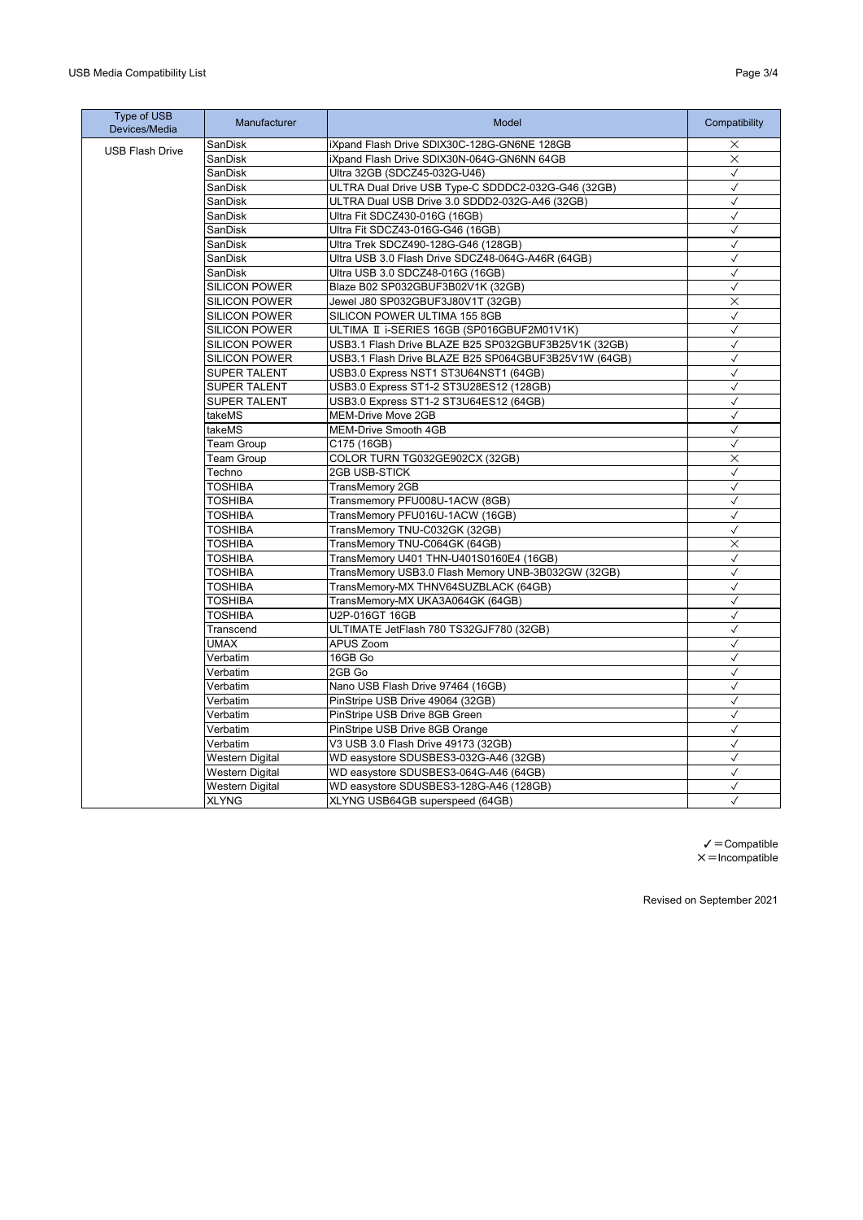| iXpand Flash Drive SDIX30C-128G-GN6NE 128GB<br>$\times$<br>SanDisk<br><b>USB Flash Drive</b><br>$\times$<br>SanDisk<br>iXpand Flash Drive SDIX30N-064G-GN6NN 64GB<br>Ultra 32GB (SDCZ45-032G-U46)<br>SanDisk<br>$\checkmark$<br>$\checkmark$<br>SanDisk<br>ULTRA Dual Drive USB Type-C SDDDC2-032G-G46 (32GB)<br>SanDisk<br>ULTRA Dual USB Drive 3.0 SDDD2-032G-A46 (32GB)<br>$\checkmark$<br>$\checkmark$<br>Ultra Fit SDCZ430-016G (16GB)<br>SanDisk<br>Ultra Fit SDCZ43-016G-G46 (16GB)<br>$\checkmark$<br>SanDisk<br>$\checkmark$<br>SanDisk<br>Ultra Trek SDCZ490-128G-G46 (128GB)<br>Ultra USB 3.0 Flash Drive SDCZ48-064G-A46R (64GB)<br>$\checkmark$<br>SanDisk<br>$\checkmark$<br>SanDisk<br>Ultra USB 3.0 SDCZ48-016G (16GB)<br><b>SILICON POWER</b><br>Blaze B02 SP032GBUF3B02V1K (32GB)<br>$\checkmark$<br>$\times$<br><b>SILICON POWER</b><br>Jewel J80 SP032GBUF3J80V1T (32GB)<br><b>SILICON POWER</b><br>SILICON POWER ULTIMA 155 8GB<br>$\checkmark$<br>$\checkmark$<br><b>SILICON POWER</b><br>ULTIMA II i-SERIES 16GB (SP016GBUF2M01V1K)<br>USB3.1 Flash Drive BLAZE B25 SP032GBUF3B25V1K (32GB)<br>$\checkmark$<br><b>SILICON POWER</b><br>USB3.1 Flash Drive BLAZE B25 SP064GBUF3B25V1W (64GB)<br>$\checkmark$<br><b>SILICON POWER</b><br>SUPER TALENT<br>USB3.0 Express NST1 ST3U64NST1 (64GB)<br>$\checkmark$<br>USB3.0 Express ST1-2 ST3U28ES12 (128GB)<br>$\checkmark$<br><b>SUPER TALENT</b><br><b>SUPER TALENT</b><br>USB3.0 Express ST1-2 ST3U64ES12 (64GB)<br>$\checkmark$<br>takeMS<br>MEM-Drive Move 2GB<br>$\checkmark$<br>takeMS<br><b>MEM-Drive Smooth 4GB</b><br>$\checkmark$<br>C175 (16GB)<br>$\checkmark$<br><b>Team Group</b><br>COLOR TURN TG032GE902CX (32GB)<br>$\times$<br><b>Team Group</b><br>2GB USB-STICK<br>$\checkmark$<br>Techno<br>$\checkmark$<br><b>TOSHIBA</b><br><b>TransMemory 2GB</b><br>Transmemory PFU008U-1ACW (8GB)<br>$\checkmark$<br><b>TOSHIBA</b><br>TransMemory PFU016U-1ACW (16GB)<br>$\checkmark$<br><b>TOSHIBA</b><br>TransMemory TNU-C032GK (32GB)<br>$\checkmark$<br><b>TOSHIBA</b><br>TransMemory TNU-C064GK (64GB)<br>$\times$<br><b>TOSHIBA</b><br>$\checkmark$<br><b>TOSHIBA</b><br>TransMemory U401 THN-U401S0160E4 (16GB)<br>TransMemory USB3.0 Flash Memory UNB-3B032GW (32GB)<br>$\checkmark$<br><b>TOSHIBA</b><br><b>TOSHIBA</b><br>$\checkmark$<br>TransMemory-MX THNV64SUZBLACK (64GB)<br>$\checkmark$<br><b>TOSHIBA</b><br>TransMemory-MX UKA3A064GK (64GB)<br><b>TOSHIBA</b><br>$\checkmark$<br>U2P-016GT 16GB<br>ULTIMATE JetFlash 780 TS32GJF780 (32GB)<br>$\checkmark$<br>Transcend<br>UMAX<br>APUS Zoom<br>$\checkmark$<br>16GB Go<br>$\checkmark$<br>Verbatim<br>Verbatim<br>2GB Go<br>$\checkmark$<br>Nano USB Flash Drive 97464 (16GB)<br>$\checkmark$<br>Verbatim<br>PinStripe USB Drive 49064 (32GB)<br>$\checkmark$<br>Verbatim<br>$\checkmark$<br>PinStripe USB Drive 8GB Green<br>Verbatim<br>$\checkmark$<br>Verbatim<br>PinStripe USB Drive 8GB Orange<br>V3 USB 3.0 Flash Drive 49173 (32GB)<br>$\checkmark$<br>Verbatim<br><b>Western Digital</b><br>WD easystore SDUSBES3-032G-A46 (32GB)<br>$\checkmark$<br>$\checkmark$<br><b>Western Digital</b><br>WD easystore SDUSBES3-064G-A46 (64GB)<br><b>Western Digital</b><br>WD easystore SDUSBES3-128G-A46 (128GB)<br>$\checkmark$<br><b>XLYNG</b><br>$\checkmark$<br>XLYNG USB64GB superspeed (64GB) | Type of USB<br>Devices/Media | Manufacturer | Model | Compatibility |
|---------------------------------------------------------------------------------------------------------------------------------------------------------------------------------------------------------------------------------------------------------------------------------------------------------------------------------------------------------------------------------------------------------------------------------------------------------------------------------------------------------------------------------------------------------------------------------------------------------------------------------------------------------------------------------------------------------------------------------------------------------------------------------------------------------------------------------------------------------------------------------------------------------------------------------------------------------------------------------------------------------------------------------------------------------------------------------------------------------------------------------------------------------------------------------------------------------------------------------------------------------------------------------------------------------------------------------------------------------------------------------------------------------------------------------------------------------------------------------------------------------------------------------------------------------------------------------------------------------------------------------------------------------------------------------------------------------------------------------------------------------------------------------------------------------------------------------------------------------------------------------------------------------------------------------------------------------------------------------------------------------------------------------------------------------------------------------------------------------------------------------------------------------------------------------------------------------------------------------------------------------------------------------------------------------------------------------------------------------------------------------------------------------------------------------------------------------------------------------------------------------------------------------------------------------------------------------------------------------------------------------------------------------------------------------------------------------------------------------------------------------------------------------------------------------------------------------------------------------------------------------------------------------------------------------------------------------------------------------------------------------------------------------------------------------------------------------------------------------------------------------------------------------------------------------------------------------------------------------------------------------------------------------------------------------------------------------------------------------|------------------------------|--------------|-------|---------------|
|                                                                                                                                                                                                                                                                                                                                                                                                                                                                                                                                                                                                                                                                                                                                                                                                                                                                                                                                                                                                                                                                                                                                                                                                                                                                                                                                                                                                                                                                                                                                                                                                                                                                                                                                                                                                                                                                                                                                                                                                                                                                                                                                                                                                                                                                                                                                                                                                                                                                                                                                                                                                                                                                                                                                                                                                                                                                                                                                                                                                                                                                                                                                                                                                                                                                                                                                                         |                              |              |       |               |
|                                                                                                                                                                                                                                                                                                                                                                                                                                                                                                                                                                                                                                                                                                                                                                                                                                                                                                                                                                                                                                                                                                                                                                                                                                                                                                                                                                                                                                                                                                                                                                                                                                                                                                                                                                                                                                                                                                                                                                                                                                                                                                                                                                                                                                                                                                                                                                                                                                                                                                                                                                                                                                                                                                                                                                                                                                                                                                                                                                                                                                                                                                                                                                                                                                                                                                                                                         |                              |              |       |               |
|                                                                                                                                                                                                                                                                                                                                                                                                                                                                                                                                                                                                                                                                                                                                                                                                                                                                                                                                                                                                                                                                                                                                                                                                                                                                                                                                                                                                                                                                                                                                                                                                                                                                                                                                                                                                                                                                                                                                                                                                                                                                                                                                                                                                                                                                                                                                                                                                                                                                                                                                                                                                                                                                                                                                                                                                                                                                                                                                                                                                                                                                                                                                                                                                                                                                                                                                                         |                              |              |       |               |
|                                                                                                                                                                                                                                                                                                                                                                                                                                                                                                                                                                                                                                                                                                                                                                                                                                                                                                                                                                                                                                                                                                                                                                                                                                                                                                                                                                                                                                                                                                                                                                                                                                                                                                                                                                                                                                                                                                                                                                                                                                                                                                                                                                                                                                                                                                                                                                                                                                                                                                                                                                                                                                                                                                                                                                                                                                                                                                                                                                                                                                                                                                                                                                                                                                                                                                                                                         |                              |              |       |               |
|                                                                                                                                                                                                                                                                                                                                                                                                                                                                                                                                                                                                                                                                                                                                                                                                                                                                                                                                                                                                                                                                                                                                                                                                                                                                                                                                                                                                                                                                                                                                                                                                                                                                                                                                                                                                                                                                                                                                                                                                                                                                                                                                                                                                                                                                                                                                                                                                                                                                                                                                                                                                                                                                                                                                                                                                                                                                                                                                                                                                                                                                                                                                                                                                                                                                                                                                                         |                              |              |       |               |
|                                                                                                                                                                                                                                                                                                                                                                                                                                                                                                                                                                                                                                                                                                                                                                                                                                                                                                                                                                                                                                                                                                                                                                                                                                                                                                                                                                                                                                                                                                                                                                                                                                                                                                                                                                                                                                                                                                                                                                                                                                                                                                                                                                                                                                                                                                                                                                                                                                                                                                                                                                                                                                                                                                                                                                                                                                                                                                                                                                                                                                                                                                                                                                                                                                                                                                                                                         |                              |              |       |               |
|                                                                                                                                                                                                                                                                                                                                                                                                                                                                                                                                                                                                                                                                                                                                                                                                                                                                                                                                                                                                                                                                                                                                                                                                                                                                                                                                                                                                                                                                                                                                                                                                                                                                                                                                                                                                                                                                                                                                                                                                                                                                                                                                                                                                                                                                                                                                                                                                                                                                                                                                                                                                                                                                                                                                                                                                                                                                                                                                                                                                                                                                                                                                                                                                                                                                                                                                                         |                              |              |       |               |
|                                                                                                                                                                                                                                                                                                                                                                                                                                                                                                                                                                                                                                                                                                                                                                                                                                                                                                                                                                                                                                                                                                                                                                                                                                                                                                                                                                                                                                                                                                                                                                                                                                                                                                                                                                                                                                                                                                                                                                                                                                                                                                                                                                                                                                                                                                                                                                                                                                                                                                                                                                                                                                                                                                                                                                                                                                                                                                                                                                                                                                                                                                                                                                                                                                                                                                                                                         |                              |              |       |               |
|                                                                                                                                                                                                                                                                                                                                                                                                                                                                                                                                                                                                                                                                                                                                                                                                                                                                                                                                                                                                                                                                                                                                                                                                                                                                                                                                                                                                                                                                                                                                                                                                                                                                                                                                                                                                                                                                                                                                                                                                                                                                                                                                                                                                                                                                                                                                                                                                                                                                                                                                                                                                                                                                                                                                                                                                                                                                                                                                                                                                                                                                                                                                                                                                                                                                                                                                                         |                              |              |       |               |
|                                                                                                                                                                                                                                                                                                                                                                                                                                                                                                                                                                                                                                                                                                                                                                                                                                                                                                                                                                                                                                                                                                                                                                                                                                                                                                                                                                                                                                                                                                                                                                                                                                                                                                                                                                                                                                                                                                                                                                                                                                                                                                                                                                                                                                                                                                                                                                                                                                                                                                                                                                                                                                                                                                                                                                                                                                                                                                                                                                                                                                                                                                                                                                                                                                                                                                                                                         |                              |              |       |               |
|                                                                                                                                                                                                                                                                                                                                                                                                                                                                                                                                                                                                                                                                                                                                                                                                                                                                                                                                                                                                                                                                                                                                                                                                                                                                                                                                                                                                                                                                                                                                                                                                                                                                                                                                                                                                                                                                                                                                                                                                                                                                                                                                                                                                                                                                                                                                                                                                                                                                                                                                                                                                                                                                                                                                                                                                                                                                                                                                                                                                                                                                                                                                                                                                                                                                                                                                                         |                              |              |       |               |
|                                                                                                                                                                                                                                                                                                                                                                                                                                                                                                                                                                                                                                                                                                                                                                                                                                                                                                                                                                                                                                                                                                                                                                                                                                                                                                                                                                                                                                                                                                                                                                                                                                                                                                                                                                                                                                                                                                                                                                                                                                                                                                                                                                                                                                                                                                                                                                                                                                                                                                                                                                                                                                                                                                                                                                                                                                                                                                                                                                                                                                                                                                                                                                                                                                                                                                                                                         |                              |              |       |               |
|                                                                                                                                                                                                                                                                                                                                                                                                                                                                                                                                                                                                                                                                                                                                                                                                                                                                                                                                                                                                                                                                                                                                                                                                                                                                                                                                                                                                                                                                                                                                                                                                                                                                                                                                                                                                                                                                                                                                                                                                                                                                                                                                                                                                                                                                                                                                                                                                                                                                                                                                                                                                                                                                                                                                                                                                                                                                                                                                                                                                                                                                                                                                                                                                                                                                                                                                                         |                              |              |       |               |
|                                                                                                                                                                                                                                                                                                                                                                                                                                                                                                                                                                                                                                                                                                                                                                                                                                                                                                                                                                                                                                                                                                                                                                                                                                                                                                                                                                                                                                                                                                                                                                                                                                                                                                                                                                                                                                                                                                                                                                                                                                                                                                                                                                                                                                                                                                                                                                                                                                                                                                                                                                                                                                                                                                                                                                                                                                                                                                                                                                                                                                                                                                                                                                                                                                                                                                                                                         |                              |              |       |               |
|                                                                                                                                                                                                                                                                                                                                                                                                                                                                                                                                                                                                                                                                                                                                                                                                                                                                                                                                                                                                                                                                                                                                                                                                                                                                                                                                                                                                                                                                                                                                                                                                                                                                                                                                                                                                                                                                                                                                                                                                                                                                                                                                                                                                                                                                                                                                                                                                                                                                                                                                                                                                                                                                                                                                                                                                                                                                                                                                                                                                                                                                                                                                                                                                                                                                                                                                                         |                              |              |       |               |
|                                                                                                                                                                                                                                                                                                                                                                                                                                                                                                                                                                                                                                                                                                                                                                                                                                                                                                                                                                                                                                                                                                                                                                                                                                                                                                                                                                                                                                                                                                                                                                                                                                                                                                                                                                                                                                                                                                                                                                                                                                                                                                                                                                                                                                                                                                                                                                                                                                                                                                                                                                                                                                                                                                                                                                                                                                                                                                                                                                                                                                                                                                                                                                                                                                                                                                                                                         |                              |              |       |               |
|                                                                                                                                                                                                                                                                                                                                                                                                                                                                                                                                                                                                                                                                                                                                                                                                                                                                                                                                                                                                                                                                                                                                                                                                                                                                                                                                                                                                                                                                                                                                                                                                                                                                                                                                                                                                                                                                                                                                                                                                                                                                                                                                                                                                                                                                                                                                                                                                                                                                                                                                                                                                                                                                                                                                                                                                                                                                                                                                                                                                                                                                                                                                                                                                                                                                                                                                                         |                              |              |       |               |
|                                                                                                                                                                                                                                                                                                                                                                                                                                                                                                                                                                                                                                                                                                                                                                                                                                                                                                                                                                                                                                                                                                                                                                                                                                                                                                                                                                                                                                                                                                                                                                                                                                                                                                                                                                                                                                                                                                                                                                                                                                                                                                                                                                                                                                                                                                                                                                                                                                                                                                                                                                                                                                                                                                                                                                                                                                                                                                                                                                                                                                                                                                                                                                                                                                                                                                                                                         |                              |              |       |               |
|                                                                                                                                                                                                                                                                                                                                                                                                                                                                                                                                                                                                                                                                                                                                                                                                                                                                                                                                                                                                                                                                                                                                                                                                                                                                                                                                                                                                                                                                                                                                                                                                                                                                                                                                                                                                                                                                                                                                                                                                                                                                                                                                                                                                                                                                                                                                                                                                                                                                                                                                                                                                                                                                                                                                                                                                                                                                                                                                                                                                                                                                                                                                                                                                                                                                                                                                                         |                              |              |       |               |
|                                                                                                                                                                                                                                                                                                                                                                                                                                                                                                                                                                                                                                                                                                                                                                                                                                                                                                                                                                                                                                                                                                                                                                                                                                                                                                                                                                                                                                                                                                                                                                                                                                                                                                                                                                                                                                                                                                                                                                                                                                                                                                                                                                                                                                                                                                                                                                                                                                                                                                                                                                                                                                                                                                                                                                                                                                                                                                                                                                                                                                                                                                                                                                                                                                                                                                                                                         |                              |              |       |               |
|                                                                                                                                                                                                                                                                                                                                                                                                                                                                                                                                                                                                                                                                                                                                                                                                                                                                                                                                                                                                                                                                                                                                                                                                                                                                                                                                                                                                                                                                                                                                                                                                                                                                                                                                                                                                                                                                                                                                                                                                                                                                                                                                                                                                                                                                                                                                                                                                                                                                                                                                                                                                                                                                                                                                                                                                                                                                                                                                                                                                                                                                                                                                                                                                                                                                                                                                                         |                              |              |       |               |
|                                                                                                                                                                                                                                                                                                                                                                                                                                                                                                                                                                                                                                                                                                                                                                                                                                                                                                                                                                                                                                                                                                                                                                                                                                                                                                                                                                                                                                                                                                                                                                                                                                                                                                                                                                                                                                                                                                                                                                                                                                                                                                                                                                                                                                                                                                                                                                                                                                                                                                                                                                                                                                                                                                                                                                                                                                                                                                                                                                                                                                                                                                                                                                                                                                                                                                                                                         |                              |              |       |               |
|                                                                                                                                                                                                                                                                                                                                                                                                                                                                                                                                                                                                                                                                                                                                                                                                                                                                                                                                                                                                                                                                                                                                                                                                                                                                                                                                                                                                                                                                                                                                                                                                                                                                                                                                                                                                                                                                                                                                                                                                                                                                                                                                                                                                                                                                                                                                                                                                                                                                                                                                                                                                                                                                                                                                                                                                                                                                                                                                                                                                                                                                                                                                                                                                                                                                                                                                                         |                              |              |       |               |
|                                                                                                                                                                                                                                                                                                                                                                                                                                                                                                                                                                                                                                                                                                                                                                                                                                                                                                                                                                                                                                                                                                                                                                                                                                                                                                                                                                                                                                                                                                                                                                                                                                                                                                                                                                                                                                                                                                                                                                                                                                                                                                                                                                                                                                                                                                                                                                                                                                                                                                                                                                                                                                                                                                                                                                                                                                                                                                                                                                                                                                                                                                                                                                                                                                                                                                                                                         |                              |              |       |               |
|                                                                                                                                                                                                                                                                                                                                                                                                                                                                                                                                                                                                                                                                                                                                                                                                                                                                                                                                                                                                                                                                                                                                                                                                                                                                                                                                                                                                                                                                                                                                                                                                                                                                                                                                                                                                                                                                                                                                                                                                                                                                                                                                                                                                                                                                                                                                                                                                                                                                                                                                                                                                                                                                                                                                                                                                                                                                                                                                                                                                                                                                                                                                                                                                                                                                                                                                                         |                              |              |       |               |
|                                                                                                                                                                                                                                                                                                                                                                                                                                                                                                                                                                                                                                                                                                                                                                                                                                                                                                                                                                                                                                                                                                                                                                                                                                                                                                                                                                                                                                                                                                                                                                                                                                                                                                                                                                                                                                                                                                                                                                                                                                                                                                                                                                                                                                                                                                                                                                                                                                                                                                                                                                                                                                                                                                                                                                                                                                                                                                                                                                                                                                                                                                                                                                                                                                                                                                                                                         |                              |              |       |               |
|                                                                                                                                                                                                                                                                                                                                                                                                                                                                                                                                                                                                                                                                                                                                                                                                                                                                                                                                                                                                                                                                                                                                                                                                                                                                                                                                                                                                                                                                                                                                                                                                                                                                                                                                                                                                                                                                                                                                                                                                                                                                                                                                                                                                                                                                                                                                                                                                                                                                                                                                                                                                                                                                                                                                                                                                                                                                                                                                                                                                                                                                                                                                                                                                                                                                                                                                                         |                              |              |       |               |
|                                                                                                                                                                                                                                                                                                                                                                                                                                                                                                                                                                                                                                                                                                                                                                                                                                                                                                                                                                                                                                                                                                                                                                                                                                                                                                                                                                                                                                                                                                                                                                                                                                                                                                                                                                                                                                                                                                                                                                                                                                                                                                                                                                                                                                                                                                                                                                                                                                                                                                                                                                                                                                                                                                                                                                                                                                                                                                                                                                                                                                                                                                                                                                                                                                                                                                                                                         |                              |              |       |               |
|                                                                                                                                                                                                                                                                                                                                                                                                                                                                                                                                                                                                                                                                                                                                                                                                                                                                                                                                                                                                                                                                                                                                                                                                                                                                                                                                                                                                                                                                                                                                                                                                                                                                                                                                                                                                                                                                                                                                                                                                                                                                                                                                                                                                                                                                                                                                                                                                                                                                                                                                                                                                                                                                                                                                                                                                                                                                                                                                                                                                                                                                                                                                                                                                                                                                                                                                                         |                              |              |       |               |
|                                                                                                                                                                                                                                                                                                                                                                                                                                                                                                                                                                                                                                                                                                                                                                                                                                                                                                                                                                                                                                                                                                                                                                                                                                                                                                                                                                                                                                                                                                                                                                                                                                                                                                                                                                                                                                                                                                                                                                                                                                                                                                                                                                                                                                                                                                                                                                                                                                                                                                                                                                                                                                                                                                                                                                                                                                                                                                                                                                                                                                                                                                                                                                                                                                                                                                                                                         |                              |              |       |               |
|                                                                                                                                                                                                                                                                                                                                                                                                                                                                                                                                                                                                                                                                                                                                                                                                                                                                                                                                                                                                                                                                                                                                                                                                                                                                                                                                                                                                                                                                                                                                                                                                                                                                                                                                                                                                                                                                                                                                                                                                                                                                                                                                                                                                                                                                                                                                                                                                                                                                                                                                                                                                                                                                                                                                                                                                                                                                                                                                                                                                                                                                                                                                                                                                                                                                                                                                                         |                              |              |       |               |
|                                                                                                                                                                                                                                                                                                                                                                                                                                                                                                                                                                                                                                                                                                                                                                                                                                                                                                                                                                                                                                                                                                                                                                                                                                                                                                                                                                                                                                                                                                                                                                                                                                                                                                                                                                                                                                                                                                                                                                                                                                                                                                                                                                                                                                                                                                                                                                                                                                                                                                                                                                                                                                                                                                                                                                                                                                                                                                                                                                                                                                                                                                                                                                                                                                                                                                                                                         |                              |              |       |               |
|                                                                                                                                                                                                                                                                                                                                                                                                                                                                                                                                                                                                                                                                                                                                                                                                                                                                                                                                                                                                                                                                                                                                                                                                                                                                                                                                                                                                                                                                                                                                                                                                                                                                                                                                                                                                                                                                                                                                                                                                                                                                                                                                                                                                                                                                                                                                                                                                                                                                                                                                                                                                                                                                                                                                                                                                                                                                                                                                                                                                                                                                                                                                                                                                                                                                                                                                                         |                              |              |       |               |
|                                                                                                                                                                                                                                                                                                                                                                                                                                                                                                                                                                                                                                                                                                                                                                                                                                                                                                                                                                                                                                                                                                                                                                                                                                                                                                                                                                                                                                                                                                                                                                                                                                                                                                                                                                                                                                                                                                                                                                                                                                                                                                                                                                                                                                                                                                                                                                                                                                                                                                                                                                                                                                                                                                                                                                                                                                                                                                                                                                                                                                                                                                                                                                                                                                                                                                                                                         |                              |              |       |               |
|                                                                                                                                                                                                                                                                                                                                                                                                                                                                                                                                                                                                                                                                                                                                                                                                                                                                                                                                                                                                                                                                                                                                                                                                                                                                                                                                                                                                                                                                                                                                                                                                                                                                                                                                                                                                                                                                                                                                                                                                                                                                                                                                                                                                                                                                                                                                                                                                                                                                                                                                                                                                                                                                                                                                                                                                                                                                                                                                                                                                                                                                                                                                                                                                                                                                                                                                                         |                              |              |       |               |
|                                                                                                                                                                                                                                                                                                                                                                                                                                                                                                                                                                                                                                                                                                                                                                                                                                                                                                                                                                                                                                                                                                                                                                                                                                                                                                                                                                                                                                                                                                                                                                                                                                                                                                                                                                                                                                                                                                                                                                                                                                                                                                                                                                                                                                                                                                                                                                                                                                                                                                                                                                                                                                                                                                                                                                                                                                                                                                                                                                                                                                                                                                                                                                                                                                                                                                                                                         |                              |              |       |               |
|                                                                                                                                                                                                                                                                                                                                                                                                                                                                                                                                                                                                                                                                                                                                                                                                                                                                                                                                                                                                                                                                                                                                                                                                                                                                                                                                                                                                                                                                                                                                                                                                                                                                                                                                                                                                                                                                                                                                                                                                                                                                                                                                                                                                                                                                                                                                                                                                                                                                                                                                                                                                                                                                                                                                                                                                                                                                                                                                                                                                                                                                                                                                                                                                                                                                                                                                                         |                              |              |       |               |
|                                                                                                                                                                                                                                                                                                                                                                                                                                                                                                                                                                                                                                                                                                                                                                                                                                                                                                                                                                                                                                                                                                                                                                                                                                                                                                                                                                                                                                                                                                                                                                                                                                                                                                                                                                                                                                                                                                                                                                                                                                                                                                                                                                                                                                                                                                                                                                                                                                                                                                                                                                                                                                                                                                                                                                                                                                                                                                                                                                                                                                                                                                                                                                                                                                                                                                                                                         |                              |              |       |               |
|                                                                                                                                                                                                                                                                                                                                                                                                                                                                                                                                                                                                                                                                                                                                                                                                                                                                                                                                                                                                                                                                                                                                                                                                                                                                                                                                                                                                                                                                                                                                                                                                                                                                                                                                                                                                                                                                                                                                                                                                                                                                                                                                                                                                                                                                                                                                                                                                                                                                                                                                                                                                                                                                                                                                                                                                                                                                                                                                                                                                                                                                                                                                                                                                                                                                                                                                                         |                              |              |       |               |
|                                                                                                                                                                                                                                                                                                                                                                                                                                                                                                                                                                                                                                                                                                                                                                                                                                                                                                                                                                                                                                                                                                                                                                                                                                                                                                                                                                                                                                                                                                                                                                                                                                                                                                                                                                                                                                                                                                                                                                                                                                                                                                                                                                                                                                                                                                                                                                                                                                                                                                                                                                                                                                                                                                                                                                                                                                                                                                                                                                                                                                                                                                                                                                                                                                                                                                                                                         |                              |              |       |               |
|                                                                                                                                                                                                                                                                                                                                                                                                                                                                                                                                                                                                                                                                                                                                                                                                                                                                                                                                                                                                                                                                                                                                                                                                                                                                                                                                                                                                                                                                                                                                                                                                                                                                                                                                                                                                                                                                                                                                                                                                                                                                                                                                                                                                                                                                                                                                                                                                                                                                                                                                                                                                                                                                                                                                                                                                                                                                                                                                                                                                                                                                                                                                                                                                                                                                                                                                                         |                              |              |       |               |
|                                                                                                                                                                                                                                                                                                                                                                                                                                                                                                                                                                                                                                                                                                                                                                                                                                                                                                                                                                                                                                                                                                                                                                                                                                                                                                                                                                                                                                                                                                                                                                                                                                                                                                                                                                                                                                                                                                                                                                                                                                                                                                                                                                                                                                                                                                                                                                                                                                                                                                                                                                                                                                                                                                                                                                                                                                                                                                                                                                                                                                                                                                                                                                                                                                                                                                                                                         |                              |              |       |               |
|                                                                                                                                                                                                                                                                                                                                                                                                                                                                                                                                                                                                                                                                                                                                                                                                                                                                                                                                                                                                                                                                                                                                                                                                                                                                                                                                                                                                                                                                                                                                                                                                                                                                                                                                                                                                                                                                                                                                                                                                                                                                                                                                                                                                                                                                                                                                                                                                                                                                                                                                                                                                                                                                                                                                                                                                                                                                                                                                                                                                                                                                                                                                                                                                                                                                                                                                                         |                              |              |       |               |
|                                                                                                                                                                                                                                                                                                                                                                                                                                                                                                                                                                                                                                                                                                                                                                                                                                                                                                                                                                                                                                                                                                                                                                                                                                                                                                                                                                                                                                                                                                                                                                                                                                                                                                                                                                                                                                                                                                                                                                                                                                                                                                                                                                                                                                                                                                                                                                                                                                                                                                                                                                                                                                                                                                                                                                                                                                                                                                                                                                                                                                                                                                                                                                                                                                                                                                                                                         |                              |              |       |               |
|                                                                                                                                                                                                                                                                                                                                                                                                                                                                                                                                                                                                                                                                                                                                                                                                                                                                                                                                                                                                                                                                                                                                                                                                                                                                                                                                                                                                                                                                                                                                                                                                                                                                                                                                                                                                                                                                                                                                                                                                                                                                                                                                                                                                                                                                                                                                                                                                                                                                                                                                                                                                                                                                                                                                                                                                                                                                                                                                                                                                                                                                                                                                                                                                                                                                                                                                                         |                              |              |       |               |
|                                                                                                                                                                                                                                                                                                                                                                                                                                                                                                                                                                                                                                                                                                                                                                                                                                                                                                                                                                                                                                                                                                                                                                                                                                                                                                                                                                                                                                                                                                                                                                                                                                                                                                                                                                                                                                                                                                                                                                                                                                                                                                                                                                                                                                                                                                                                                                                                                                                                                                                                                                                                                                                                                                                                                                                                                                                                                                                                                                                                                                                                                                                                                                                                                                                                                                                                                         |                              |              |       |               |
|                                                                                                                                                                                                                                                                                                                                                                                                                                                                                                                                                                                                                                                                                                                                                                                                                                                                                                                                                                                                                                                                                                                                                                                                                                                                                                                                                                                                                                                                                                                                                                                                                                                                                                                                                                                                                                                                                                                                                                                                                                                                                                                                                                                                                                                                                                                                                                                                                                                                                                                                                                                                                                                                                                                                                                                                                                                                                                                                                                                                                                                                                                                                                                                                                                                                                                                                                         |                              |              |       |               |

 $\checkmark$  = Compatible  $\times$  = Incompatible